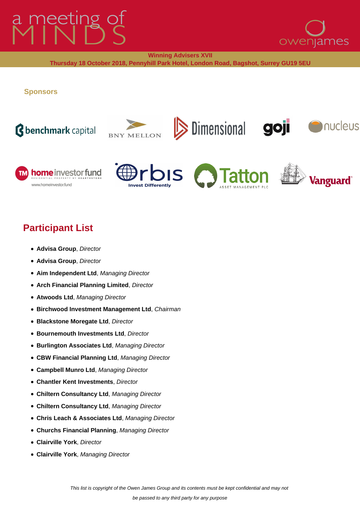# meeting of



**Winning Advisers XVII**

**Thursday 18 October 2018, Pennyhill Park Hotel, London Road, Bagshot, Surrey GU19 5EU**

**Sponsors**

## *<u>Bbenchmark capital</u>*









Dimensional goji



**A**nucleus

### **Participant List**

- **Advisa Group**, Director
- **Advisa Group**, Director
- **Aim Independent Ltd**, Managing Director
- **Arch Financial Planning Limited**, Director
- **Atwoods Ltd**, Managing Director
- **Birchwood Investment Management Ltd**, Chairman
- **Blackstone Moregate Ltd**, Director
- **Bournemouth Investments Ltd**, Director
- **Burlington Associates Ltd**, Managing Director
- **CBW Financial Planning Ltd**, Managing Director
- **Campbell Munro Ltd**, Managing Director
- **Chantler Kent Investments**, Director
- **Chiltern Consultancy Ltd**, Managing Director
- **Chiltern Consultancy Ltd**, Managing Director
- **Chris Leach & Associates Ltd**, Managing Director
- **Churchs Financial Planning**, Managing Director
- **Clairville York**, Director
- **Clairville York**, Managing Director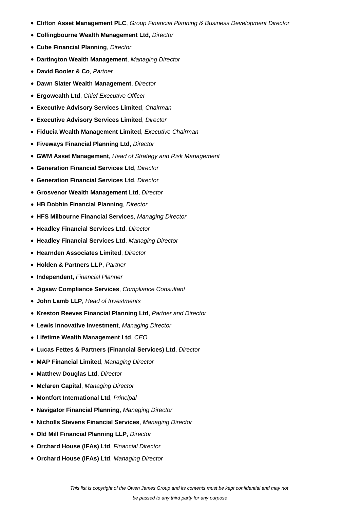- **Clifton Asset Management PLC**, Group Financial Planning & Business Development Director
- **Collingbourne Wealth Management Ltd**, Director
- **Cube Financial Planning**, Director
- **Dartington Wealth Management**, Managing Director
- **David Booler & Co**, Partner
- **Dawn Slater Wealth Management**, Director
- **Ergowealth Ltd**, Chief Executive Officer
- **Executive Advisory Services Limited**, Chairman
- **Executive Advisory Services Limited**, Director
- **Fiducia Wealth Management Limited**, Executive Chairman
- **Fiveways Financial Planning Ltd**, Director
- **GWM Asset Management**, Head of Strategy and Risk Management
- **Generation Financial Services Ltd**, Director
- **Generation Financial Services Ltd**, Director
- **Grosvenor Wealth Management Ltd**, Director
- **HB Dobbin Financial Planning**, Director
- **HFS Milbourne Financial Services**, Managing Director
- **Headley Financial Services Ltd**, Director
- **Headley Financial Services Ltd**, Managing Director
- **Hearnden Associates Limited**, Director
- **Holden & Partners LLP**, Partner
- **Independent**, Financial Planner
- **Jigsaw Compliance Services**, Compliance Consultant
- **John Lamb LLP**, Head of Investments
- **Kreston Reeves Financial Planning Ltd**, Partner and Director
- **Lewis Innovative Investment**, Managing Director
- **Lifetime Wealth Management Ltd**, CEO
- **Lucas Fettes & Partners (Financial Services) Ltd**, Director
- **MAP Financial Limited**, Managing Director
- **Matthew Douglas Ltd**, Director
- **Mclaren Capital**, Managing Director
- **Montfort International Ltd**, Principal
- **Navigator Financial Planning**, Managing Director
- **Nicholls Stevens Financial Services**, Managing Director
- **Old Mill Financial Planning LLP**, Director
- **Orchard House (IFAs) Ltd**, Financial Director
- **Orchard House (IFAs) Ltd**, Managing Director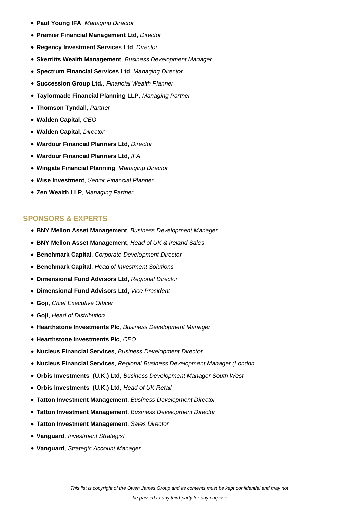- **Paul Young IFA**, Managing Director
- **Premier Financial Management Ltd**, Director
- **Regency Investment Services Ltd**, Director
- **Skerritts Wealth Management**, Business Development Manager
- **Spectrum Financial Services Ltd**, Managing Director
- **Succession Group Ltd.**, Financial Wealth Planner
- **Taylormade Financial Planning LLP**, Managing Partner
- **Thomson Tyndall**, Partner
- **Walden Capital**, CEO
- **Walden Capital**, Director
- **Wardour Financial Planners Ltd**, Director
- **Wardour Financial Planners Ltd**, IFA
- **Wingate Financial Planning**, Managing Director
- **Wise Investment**, Senior Financial Planner
- **Zen Wealth LLP**, Managing Partner

#### **SPONSORS & EXPERTS**

- **BNY Mellon Asset Management**, Business Development Manager
- **BNY Mellon Asset Management**, Head of UK & Ireland Sales
- **Benchmark Capital**, Corporate Development Director
- **Benchmark Capital**, Head of Investment Solutions
- **Dimensional Fund Advisors Ltd**, Regional Director
- **Dimensional Fund Advisors Ltd**, Vice President
- **Goji**, Chief Executive Officer
- **Goji**, Head of Distribution
- **Hearthstone Investments Plc**, Business Development Manager
- **Hearthstone Investments Plc, CEO**
- **Nucleus Financial Services**, Business Development Director
- **Nucleus Financial Services**, Regional Business Development Manager (London
- **Orbis Investments (U.K.) Ltd**, Business Development Manager South West
- **Orbis Investments (U.K.) Ltd**, Head of UK Retail
- **Tatton Investment Management**, Business Development Director
- **Tatton Investment Management**, Business Development Director
- **Tatton Investment Management**, Sales Director
- **Vanguard**, Investment Strategist
- **Vanguard**, Strategic Account Manager